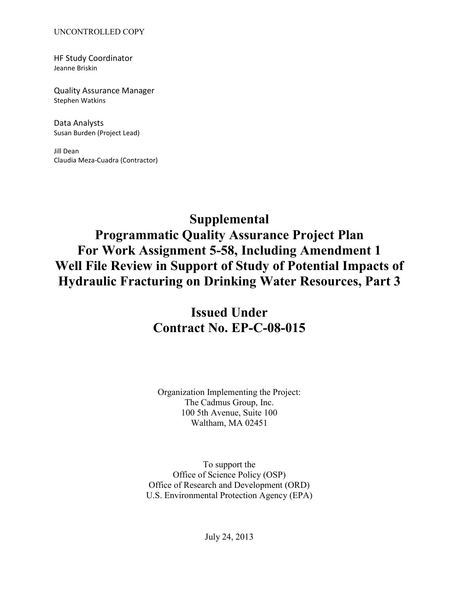HF Study Coordinator Jeanne Briskin

Quality Assurance Manager Stephen Watkins

Data Analysts Susan Burden (Project Lead)

Jill Dean Claudia Meza-Cuadra (Contractor)

# **Supplemental**

**Programmatic Quality Assurance Project Plan For Work Assignment 5-58, Including Amendment 1 Well File Review in Support of Study of Potential Impacts of Hydraulic Fracturing on Drinking Water Resources, Part 3**

# **Issued Under Contract No. EP-C-08-015**

Organization Implementing the Project: The Cadmus Group, Inc. 100 5th Avenue, Suite 100 Waltham, MA 02451

 Office of Research and Development (ORD) U.S. Environmental Protection Agency (EPA) To support the Office of Science Policy (OSP)

July 24, 2013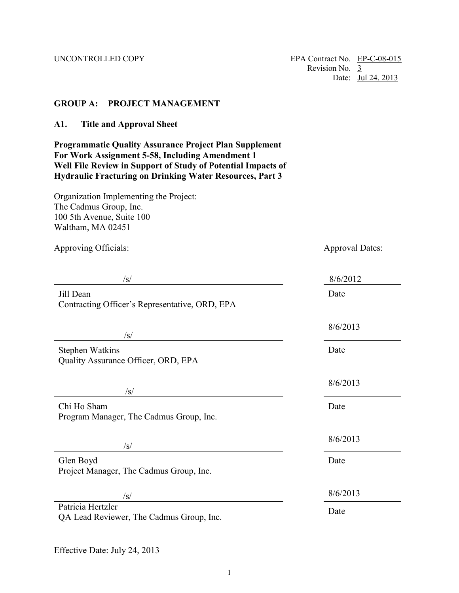### <span id="page-1-0"></span> **GROUP A: PROJECT MANAGEMENT**

<span id="page-1-1"></span>**A1. Title and Approval Sheet** 

 **Programmatic Quality Assurance Project Plan Supplement Well File Review in Support of Study of Potential Impacts of For Work Assignment 5-58, Including Amendment 1 Hydraulic Fracturing on Drinking Water Resources, Part 3** 

 100 5th Avenue, Suite 100 Organization Implementing the Project: The Cadmus Group, Inc. Waltham, MA 02451

Approving Officials:  $\Delta$ Approval Dates:  $\Delta$ /s/ 8/6/2012 Jill Dean Date Contracting Officer's Representative, ORD, EPA 8/6/2013  $\sqrt{s}$ / Stephen Watkins Date Quality Assurance Officer, ORD, EPA 8/6/2013  $\sqrt{s}$ / Chi Ho Sham Date Program Manager, The Cadmus Group, Inc. 8/6/2013  $\sqrt{s}$ /s/ Glen Boyd Date Project Manager, The Cadmus Group, Inc.  $\frac{8}{6/2013}$ Patricia Hertzler Date QA Lead Reviewer, The Cadmus Group, Inc.

Effective Date: July 24, 2013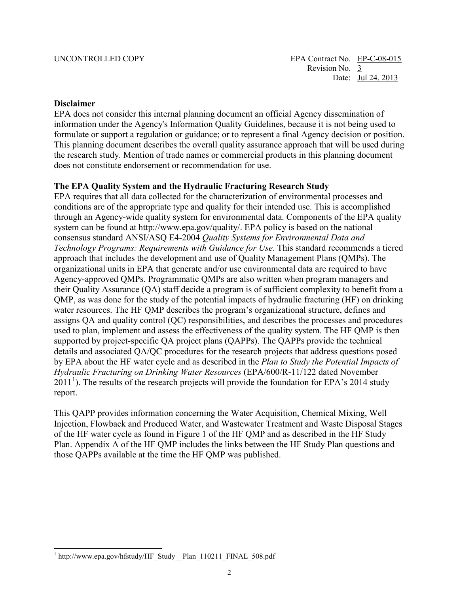#### **Disclaimer**

 information under the Agency's Information Quality Guidelines, because it is not being used to EPA does not consider this internal planning document an official Agency dissemination of formulate or support a regulation or guidance; or to represent a final Agency decision or position. This planning document describes the overall quality assurance approach that will be used during the research study. Mention of trade names or commercial products in this planning document does not constitute endorsement or recommendation for use.

#### **The EPA Quality System and the Hydraulic Fracturing Research Study**

 EPA requires that all data collected for the characterization of environmental processes and through an Agency-wide quality system for environmental data. Components of the EPA quality used to plan, implement and assess the effectiveness of the quality system. The HF QMP is then  by EPA about the HF water cycle and as described in the *Plan to Study the Potential Impacts of*  report. conditions are of the appropriate type and quality for their intended use. This is accomplished system can be found at [http://www.epa.gov/quality/. EP](http://www.epa.gov/quality/)A policy is based on the national consensus standard ANSI/ASQ E4-2004 *Quality Systems for Environmental Data and Technology Programs: Requirements with Guidance for Use*. This standard recommends a tiered approach that includes the development and use of Quality Management Plans (QMPs). The organizational units in EPA that generate and/or use environmental data are required to have Agency-approved QMPs. Programmatic QMPs are also written when program managers and their Quality Assurance (QA) staff decide a program is of sufficient complexity to benefit from a QMP, as was done for the study of the potential impacts of hydraulic fracturing (HF) on drinking water resources. The HF QMP describes the program's organizational structure, defines and assigns QA and quality control (QC) responsibilities, and describes the processes and procedures supported by project-specific QA project plans (QAPPs). The QAPPs provide the technical details and associated QA/QC procedures for the research projects that address questions posed *Hydraulic Fracturing on Drinking Water Resources* (EPA/600/R-11/122 dated November  $2011<sup>1</sup>$  $2011<sup>1</sup>$  $2011<sup>1</sup>$ ). The results of the research projects will provide the foundation for EPA's 2014 study

 of the HF water cycle as found in Figure 1 of the HF QMP and as described in the HF Study Plan. Appendix A of the HF QMP includes the links between the HF Study Plan questions and This OAPP provides information concerning the Water Acquisition, Chemical Mixing, Well Injection, Flowback and Produced Water, and Wastewater Treatment and Waste Disposal Stages those QAPPs available at the time the HF QMP was published.

<span id="page-2-0"></span> $\overline{a}$ 1 [http://www.epa.gov/hfstudy/HF\\_Study\\_\\_Plan\\_110211\\_FINAL\\_508.pdf](http://www.epa.gov/hfstudy/HF_Study__Plan_110211_FINAL_508.pdf)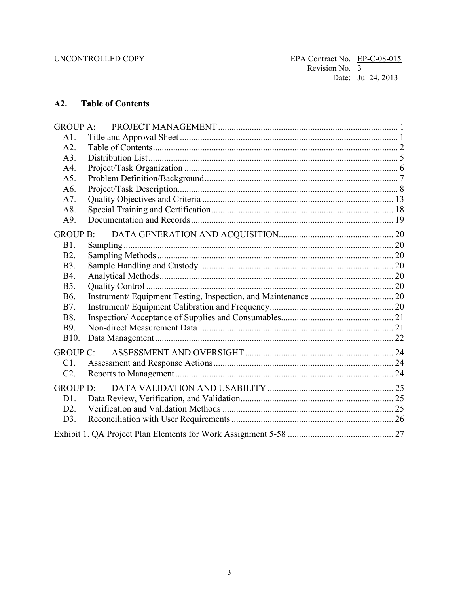#### $A2.$ **Table of Contents**

| <b>GROUP A:</b>  |  |  |  |  |  |
|------------------|--|--|--|--|--|
| A1.              |  |  |  |  |  |
| A2.              |  |  |  |  |  |
| A3.              |  |  |  |  |  |
| A4.              |  |  |  |  |  |
| A5.              |  |  |  |  |  |
| A6.              |  |  |  |  |  |
| A7.              |  |  |  |  |  |
| A8.              |  |  |  |  |  |
| A9.              |  |  |  |  |  |
| GROUP B:         |  |  |  |  |  |
| <b>B1.</b>       |  |  |  |  |  |
| B <sub>2</sub> . |  |  |  |  |  |
| <b>B</b> 3.      |  |  |  |  |  |
| <b>B4.</b>       |  |  |  |  |  |
| <b>B5.</b>       |  |  |  |  |  |
| B <sub>6</sub> . |  |  |  |  |  |
| <b>B7.</b>       |  |  |  |  |  |
| <b>B8.</b>       |  |  |  |  |  |
| B9.              |  |  |  |  |  |
| B10.             |  |  |  |  |  |
| <b>GROUP C:</b>  |  |  |  |  |  |
| C1.              |  |  |  |  |  |
| $C2$ .           |  |  |  |  |  |
|                  |  |  |  |  |  |
|                  |  |  |  |  |  |
| D1.              |  |  |  |  |  |
| $D2$ .           |  |  |  |  |  |
| D3.              |  |  |  |  |  |
|                  |  |  |  |  |  |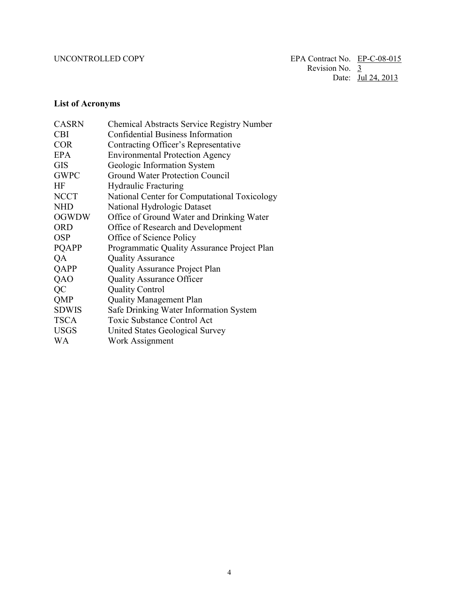## **List of Acronyms**

| <b>CASRN</b> | <b>Chemical Abstracts Service Registry Number</b> |
|--------------|---------------------------------------------------|
| <b>CBI</b>   | <b>Confidential Business Information</b>          |
| <b>COR</b>   | Contracting Officer's Representative              |
| <b>EPA</b>   | <b>Environmental Protection Agency</b>            |
| <b>GIS</b>   | Geologic Information System                       |
| <b>GWPC</b>  | Ground Water Protection Council                   |
| <b>HF</b>    | <b>Hydraulic Fracturing</b>                       |
| <b>NCCT</b>  | National Center for Computational Toxicology      |
| <b>NHD</b>   | National Hydrologic Dataset                       |
| <b>OGWDW</b> | Office of Ground Water and Drinking Water         |
| <b>ORD</b>   | Office of Research and Development                |
| <b>OSP</b>   | Office of Science Policy                          |
| <b>POAPP</b> | Programmatic Quality Assurance Project Plan       |
| QA           | <b>Quality Assurance</b>                          |
| QAPP         | <b>Quality Assurance Project Plan</b>             |
| QAO          | <b>Quality Assurance Officer</b>                  |
| QC           | <b>Quality Control</b>                            |
| QMP          | <b>Quality Management Plan</b>                    |
| <b>SDWIS</b> | Safe Drinking Water Information System            |
| <b>TSCA</b>  | <b>Toxic Substance Control Act</b>                |
| <b>USGS</b>  | United States Geological Survey                   |
| <b>WA</b>    | Work Assignment                                   |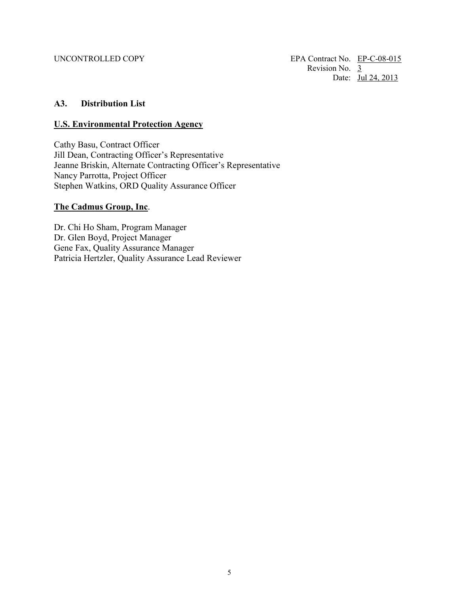### <span id="page-5-0"></span>**A3. Distribution List**

#### **U.S. Environmental Protection Agency**

Cathy Basu, Contract Officer Jill Dean, Contracting Officer's Representative Jeanne Briskin, Alternate Contracting Officer's Representative Nancy Parrotta, Project Officer Stephen Watkins, ORD Quality Assurance Officer

### **The Cadmus Group, Inc**.

 Gene Fax, Quality Assurance Manager Dr. Chi Ho Sham, Program Manager Dr. Glen Boyd, Project Manager Patricia Hertzler, Quality Assurance Lead Reviewer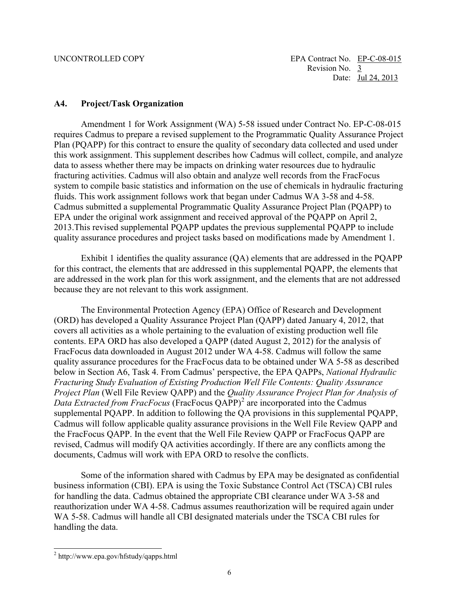#### <span id="page-6-0"></span> **A4. Project/Task Organization**

 fluids. This work assignment follows work that began under Cadmus WA 3-58 and 4-58. 2013.This revised supplemental PQAPP updates the previous supplemental PQAPP to include Amendment 1 for Work Assignment (WA) 5-58 issued under Contract No. EP-C-08-015 requires Cadmus to prepare a revised supplement to the Programmatic Quality Assurance Project Plan (PQAPP) for this contract to ensure the quality of secondary data collected and used under this work assignment. This supplement describes how Cadmus will collect, compile, and analyze data to assess whether there may be impacts on drinking water resources due to hydraulic fracturing activities. Cadmus will also obtain and analyze well records from the FracFocus system to compile basic statistics and information on the use of chemicals in hydraulic fracturing Cadmus submitted a supplemental Programmatic Quality Assurance Project Plan (PQAPP) to EPA under the original work assignment and received approval of the PQAPP on April 2, quality assurance procedures and project tasks based on modifications made by Amendment 1.

 for this contract, the elements that are addressed in this supplemental PQAPP, the elements that Exhibit 1 identifies the quality assurance (QA) elements that are addressed in the PQAPP are addressed in the work plan for this work assignment, and the elements that are not addressed because they are not relevant to this work assignment.

 contents. EPA ORD has also developed a QAPP (dated August 2, 2012) for the analysis of quality assurance procedures for the FracFocus data to be obtained under WA 5-58 as described below in Section A6, Task 4. From Cadmus' perspective, the EPA QAPPs, *National Hydraulic Project Plan* (Well File Review QAPP) and the *Quality Assurance Project Plan for Analysis of Data Extracted from FracFocus* (FracFocus QAPP)<sup>[2](#page-6-1)</sup> are incorporated into the Cadmus Cadmus will follow applicable quality assurance provisions in the Well File Review QAPP and documents, Cadmus will work with EPA ORD to resolve the conflicts. The Environmental Protection Agency (EPA) Office of Research and Development (ORD) has developed a Quality Assurance Project Plan (QAPP) dated January 4, 2012, that covers all activities as a whole pertaining to the evaluation of existing production well file FracFocus data downloaded in August 2012 under WA 4-58. Cadmus will follow the same *Fracturing Study Evaluation of Existing Production Well File Contents: Quality Assurance*  supplemental PQAPP. In addition to following the QA provisions in this supplemental PQAPP, the FracFocus QAPP. In the event that the Well File Review QAPP or FracFocus QAPP are revised, Cadmus will modify QA activities accordingly. If there are any conflicts among the

documents, Cadmus will work with EPA ORD to resolve the conflicts.<br>Some of the information shared with Cadmus by EPA may be designated as confidential WA 5-58. Cadmus will handle all CBI designated materials under the TSCA CBI rules for business information (CBI). EPA is using the Toxic Substance Control Act (TSCA) CBI rules for handling the data. Cadmus obtained the appropriate CBI clearance under WA 3-58 and reauthorization under WA 4-58. Cadmus assumes reauthorization will be required again under handling the data.

 $\overline{a}$ 

<span id="page-6-1"></span><sup>&</sup>lt;sup>2</sup> http://www.epa.gov/hfstudy/qapps.html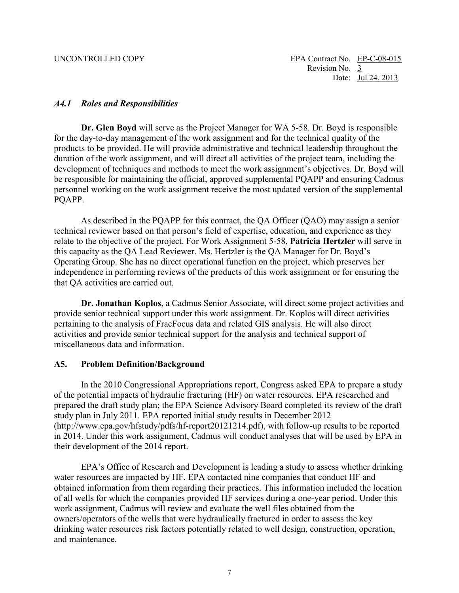### *A4.1 Roles and Responsibilities*

**Dr. Glen Boyd** will serve as the Project Manager for WA 5-58. Dr. Boyd is responsible for the day-to-day management of the work assignment and for the technical quality of the products to be provided. He will provide administrative and technical leadership throughout the duration of the work assignment, and will direct all activities of the project team, including the development of techniques and methods to meet the work assignment's objectives. Dr. Boyd will be responsible for maintaining the official, approved supplemental PQAPP and ensuring Cadmus personnel working on the work assignment receive the most updated version of the supplemental PQAPP.

 this capacity as the QA Lead Reviewer. Ms. Hertzler is the QA Manager for Dr. Boyd's As described in the PQAPP for this contract, the QA Officer (QAO) may assign a senior technical reviewer based on that person's field of expertise, education, and experience as they relate to the objective of the project. For Work Assignment 5-58, **Patricia Hertzler** will serve in Operating Group. She has no direct operational function on the project, which preserves her independence in performing reviews of the products of this work assignment or for ensuring the that QA activities are carried out.

 activities and provide senior technical support for the analysis and technical support of miscellaneous data and information. **Dr. Jonathan Koplos**, a Cadmus Senior Associate, will direct some project activities and provide senior technical support under this work assignment. Dr. Koplos will direct activities pertaining to the analysis of FracFocus data and related GIS analysis. He will also direct

### <span id="page-7-0"></span> **A5. Problem Definition/Background**

 of the potential impacts of hydraulic fracturing (HF) on water resources. EPA researched and study plan in July 2011. EPA reported initial study results in December 2012 their development of the 2014 report. In the 2010 Congressional Appropriations report, Congress asked EPA to prepare a study prepared the draft study plan; the EPA Science Advisory Board completed its review of the draft ([http://www.epa.gov/hfstudy/pdfs/hf-report20121214.pdf\), w](http://www.epa.gov/hfstudy/pdfs/hf-report20121214.pdf)ith follow-up results to be reported in 2014. Under this work assignment, Cadmus will conduct analyses that will be used by EPA in

EPA's Office of Research and Development is leading a study to assess whether drinking water resources are impacted by HF. EPA contacted nine companies that conduct HF and obtained information from them regarding their practices. This information included the location of all wells for which the companies provided HF services during a one-year period. Under this work assignment, Cadmus will review and evaluate the well files obtained from the owners/operators of the wells that were hydraulically fractured in order to assess the key drinking water resources risk factors potentially related to well design, construction, operation, and maintenance.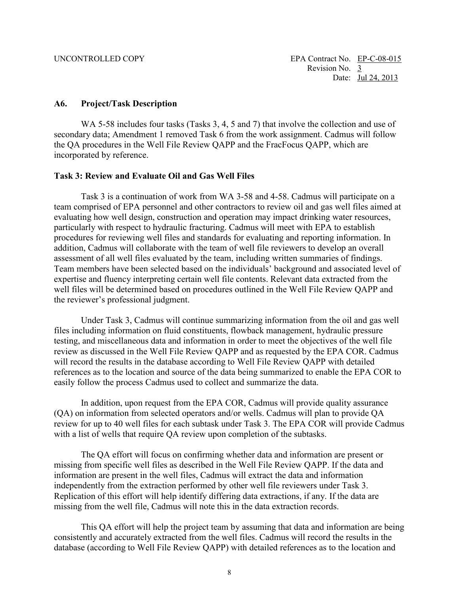#### <span id="page-8-0"></span>**A6. Project/Task Description**

WA 5-58 includes four tasks (Tasks 3, 4, 5 and 7) that involve the collection and use of the QA procedures in the Well File Review QAPP and the FracFocus QAPP, which are secondary data; Amendment 1 removed Task 6 from the work assignment. Cadmus will follow incorporated by reference.

#### **Task 3: Review and Evaluate Oil and Gas Well Files**

 particularly with respect to hydraulic fracturing. Cadmus will meet with EPA to establish Task 3 is a continuation of work from WA 3-58 and 4-58. Cadmus will participate on a team comprised of EPA personnel and other contractors to review oil and gas well files aimed at evaluating how well design, construction and operation may impact drinking water resources, procedures for reviewing well files and standards for evaluating and reporting information. In addition, Cadmus will collaborate with the team of well file reviewers to develop an overall assessment of all well files evaluated by the team, including written summaries of findings. Team members have been selected based on the individuals' background and associated level of expertise and fluency interpreting certain well file contents. Relevant data extracted from the well files will be determined based on procedures outlined in the Well File Review QAPP and the reviewer's professional judgment.

 review as discussed in the Well File Review QAPP and as requested by the EPA COR. Cadmus Under Task 3, Cadmus will continue summarizing information from the oil and gas well files including information on fluid constituents, flowback management, hydraulic pressure testing, and miscellaneous data and information in order to meet the objectives of the well file will record the results in the database according to Well File Review QAPP with detailed references as to the location and source of the data being summarized to enable the EPA COR to easily follow the process Cadmus used to collect and summarize the data.

 In addition, upon request from the EPA COR, Cadmus will provide quality assurance (QA) on information from selected operators and/or wells. Cadmus will plan to provide QA review for up to 40 well files for each subtask under Task 3. The EPA COR will provide Cadmus with a list of wells that require QA review upon completion of the subtasks.

The QA effort will focus on confirming whether data and information are present or missing from specific well files as described in the Well File Review QAPP. If the data and information are present in the well files, Cadmus will extract the data and information independently from the extraction performed by other well file reviewers under Task 3. Replication of this effort will help identify differing data extractions, if any. If the data are missing from the well file, Cadmus will note this in the data extraction records.

This QA effort will help the project team by assuming that data and information are being consistently and accurately extracted from the well files. Cadmus will record the results in the database (according to Well File Review QAPP) with detailed references as to the location and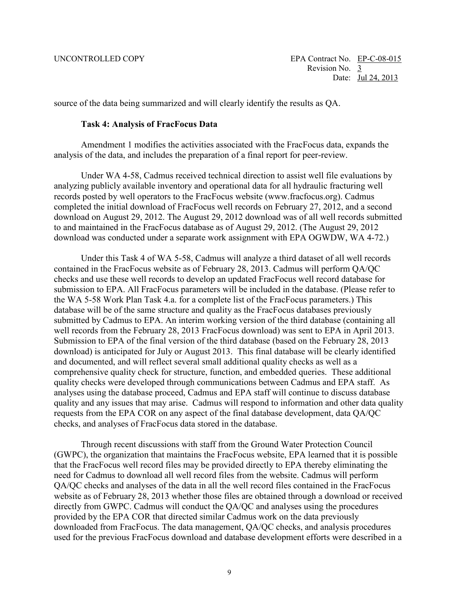source of the data being summarized and will clearly identify the results as QA.

#### **Task 4: Analysis of FracFocus Data**

Amendment 1 modifies the activities associated with the FracFocus data, expands the analysis of the data, and includes the preparation of a final report for peer-review.

 to and maintained in the FracFocus database as of August 29, 2012. (The August 29, 2012 download was conducted under a separate work assignment with EPA OGWDW, WA 4-72.) Under WA 4-58, Cadmus received technical direction to assist well file evaluations by analyzing publicly available inventory and operational data for all hydraulic fracturing well records posted by well operators to the FracFocus website ([www.fracfocus.org\). Ca](http://www.fracfocus.org)dmus completed the initial download of FracFocus well records on February 27, 2012, and a second download on August 29, 2012. The August 29, 2012 download was of all well records submitted

download was conducted under a separate work assignment with EPA OGWDW, WA 4-72.)<br>Under this Task 4 of WA 5-58, Cadmus will analyze a third dataset of all well records and documented, and will reflect several small additional quality checks as well as a quality and any issues that may arise. Cadmus will respond to information and other data quality checks, and analyses of FracFocus data stored in the database. contained in the FracFocus website as of February 28, 2013. Cadmus will perform QA/QC checks and use these well records to develop an updated FracFocus well record database for submission to EPA. All FracFocus parameters will be included in the database. (Please refer to the WA 5-58 Work Plan Task 4.a. for a complete list of the FracFocus parameters.) This database will be of the same structure and quality as the FracFocus databases previously submitted by Cadmus to EPA. An interim working version of the third database (containing all well records from the February 28, 2013 FracFocus download) was sent to EPA in April 2013. Submission to EPA of the final version of the third database (based on the February 28, 2013 download) is anticipated for July or August 2013. This final database will be clearly identified comprehensive quality check for structure, function, and embedded queries. These additional quality checks were developed through communications between Cadmus and EPA staff. As analyses using the database proceed, Cadmus and EPA staff will continue to discuss database requests from the EPA COR on any aspect of the final database development, data QA/QC

 website as of February 28, 2013 whether those files are obtained through a download or received provided by the EPA COR that directed similar Cadmus work on the data previously downloaded from FracFocus. The data management, QA/QC checks, and analysis procedures Through recent discussions with staff from the Ground Water Protection Council (GWPC), the organization that maintains the FracFocus website, EPA learned that it is possible that the FracFocus well record files may be provided directly to EPA thereby eliminating the need for Cadmus to download all well record files from the website. Cadmus will perform QA/QC checks and analyses of the data in all the well record files contained in the FracFocus directly from GWPC. Cadmus will conduct the QA/QC and analyses using the procedures used for the previous FracFocus download and database development efforts were described in a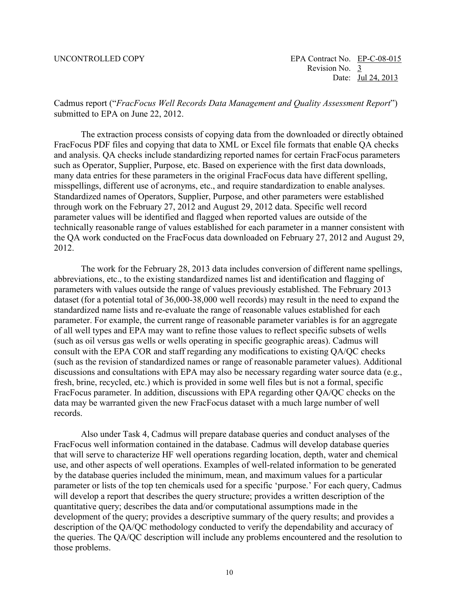submitted to EPA on June 22, 2012. Cadmus report ("*FracFocus Well Records Data Management and Quality Assessment Report*")

submitted to EPA on June 22, 2012.<br>The extraction process consists of copying data from the downloaded or directly obtained FracFocus PDF files and copying that data to XML or Excel file formats that enable QA checks 2012. and analysis. QA checks include standardizing reported names for certain FracFocus parameters such as Operator, Supplier, Purpose, etc. Based on experience with the first data downloads, many data entries for these parameters in the original FracFocus data have different spelling, misspellings, different use of acronyms, etc., and require standardization to enable analyses. Standardized names of Operators, Supplier, Purpose, and other parameters were established through work on the February 27, 2012 and August 29, 2012 data. Specific well record parameter values will be identified and flagged when reported values are outside of the technically reasonable range of values established for each parameter in a manner consistent with the QA work conducted on the FracFocus data downloaded on February 27, 2012 and August 29,

 2012. The work for the February 28, 2013 data includes conversion of different name spellings, (such as oil versus gas wells or wells operating in specific geographic areas). Cadmus will (such as the revision of standardized names or range of reasonable parameter values). Additional records abbreviations, etc., to the existing standardized names list and identification and flagging of parameters with values outside the range of values previously established. The February 2013 dataset (for a potential total of 36,000-38,000 well records) may result in the need to expand the standardized name lists and re-evaluate the range of reasonable values established for each parameter. For example, the current range of reasonable parameter variables is for an aggregate of all well types and EPA may want to refine those values to reflect specific subsets of wells consult with the EPA COR and staff regarding any modifications to existing QA/QC checks discussions and consultations with EPA may also be necessary regarding water source data (e.g., fresh, brine, recycled, etc.) which is provided in some well files but is not a formal, specific FracFocus parameter. In addition, discussions with EPA regarding other QA/QC checks on the data may be warranted given the new FracFocus dataset with a much large number of well

 records. Also under Task 4, Cadmus will prepare database queries and conduct analyses of the that will serve to characterize HF well operations regarding location, depth, water and chemical use, and other aspects of well operations. Examples of well-related information to be generated the queries. The QA/QC description will include any problems encountered and the resolution to FracFocus well information contained in the database. Cadmus will develop database queries by the database queries included the minimum, mean, and maximum values for a particular parameter or lists of the top ten chemicals used for a specific 'purpose.' For each query, Cadmus will develop a report that describes the query structure; provides a written description of the quantitative query; describes the data and/or computational assumptions made in the development of the query; provides a descriptive summary of the query results; and provides a description of the QA/QC methodology conducted to verify the dependability and accuracy of those problems.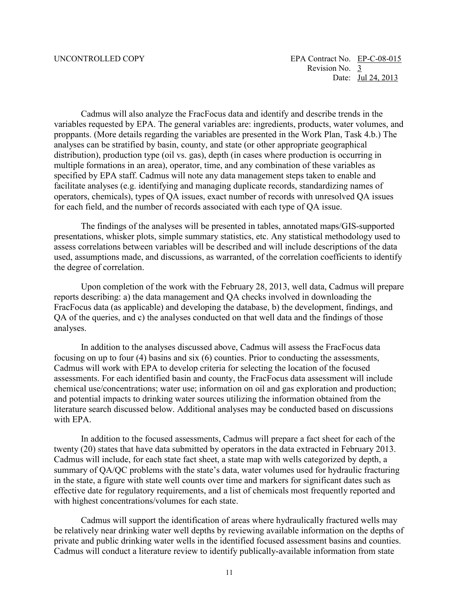analyses can be stratified by basin, county, and state (or other appropriate geographical for each field, and the number of records associated with each type of QA issue. Cadmus will also analyze the FracFocus data and identify and describe trends in the variables requested by EPA. The general variables are: ingredients, products, water volumes, and proppants. (More details regarding the variables are presented in the Work Plan, Task 4.b.) The distribution), production type (oil vs. gas), depth (in cases where production is occurring in multiple formations in an area), operator, time, and any combination of these variables as specified by EPA staff. Cadmus will note any data management steps taken to enable and facilitate analyses (e.g. identifying and managing duplicate records, standardizing names of operators, chemicals), types of QA issues, exact number of records with unresolved QA issues

The findings of the analyses will be presented in tables, annotated maps/GIS-supported presentations, whisker plots, simple summary statistics, etc. Any statistical methodology used to assess correlations between variables will be described and will include descriptions of the data used, assumptions made, and discussions, as warranted, of the correlation coefficients to identify the degree of correlation.

 Upon completion of the work with the February 28, 2013, well data, Cadmus will prepare reports describing: a) the data management and QA checks involved in downloading the FracFocus data (as applicable) and developing the database, b) the development, findings, and QA of the queries, and c) the analyses conducted on that well data and the findings of those analyses.

In addition to the analyses discussed above, Cadmus will assess the FracFocus data focusing on up to four (4) basins and six (6) counties. Prior to conducting the assessments, Cadmus will work with EPA to develop criteria for selecting the location of the focused assessments. For each identified basin and county, the FracFocus data assessment will include chemical use/concentrations; water use; information on oil and gas exploration and production; and potential impacts to drinking water sources utilizing the information obtained from the literature search discussed below. Additional analyses may be conducted based on discussions with EPA.

 Cadmus will include, for each state fact sheet, a state map with wells categorized by depth, a in the state, a figure with state well counts over time and markers for significant dates such as effective date for regulatory requirements, and a list of chemicals most frequently reported and with highest concentrations/volumes for each state. In addition to the focused assessments, Cadmus will prepare a fact sheet for each of the twenty (20) states that have data submitted by operators in the data extracted in February 2013. summary of QA/QC problems with the state's data, water volumes used for hydraulic fracturing

 be relatively near drinking water well depths by reviewing available information on the depths of Cadmus will support the identification of areas where hydraulically fractured wells may private and public drinking water wells in the identified focused assessment basins and counties. Cadmus will conduct a literature review to identify publically-available information from state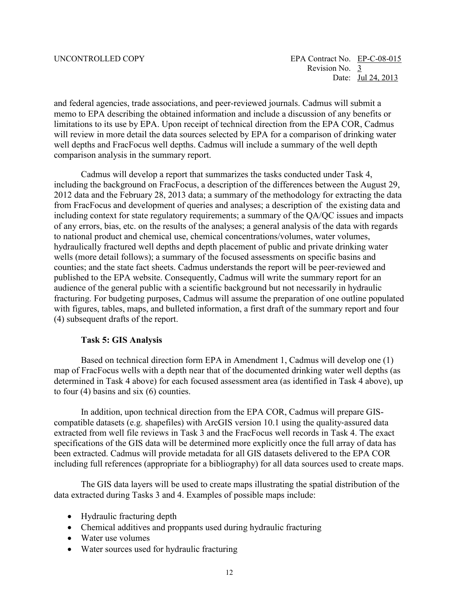limitations to its use by EPA. Upon receipt of technical direction from the EPA COR, Cadmus and federal agencies, trade associations, and peer-reviewed journals. Cadmus will submit a memo to EPA describing the obtained information and include a discussion of any benefits or will review in more detail the data sources selected by EPA for a comparison of drinking water well depths and FracFocus well depths. Cadmus will include a summary of the well depth comparison analysis in the summary report.

 hydraulically fractured well depths and depth placement of public and private drinking water Cadmus will develop a report that summarizes the tasks conducted under Task 4, including the background on FracFocus, a description of the differences between the August 29, 2012 data and the February 28, 2013 data; a summary of the methodology for extracting the data from FracFocus and development of queries and analyses; a description of the existing data and including context for state regulatory requirements; a summary of the QA/QC issues and impacts of any errors, bias, etc. on the results of the analyses; a general analysis of the data with regards to national product and chemical use, chemical concentrations/volumes, water volumes, wells (more detail follows); a summary of the focused assessments on specific basins and counties; and the state fact sheets. Cadmus understands the report will be peer-reviewed and published to the EPA website. Consequently, Cadmus will write the summary report for an audience of the general public with a scientific background but not necessarily in hydraulic fracturing. For budgeting purposes, Cadmus will assume the preparation of one outline populated with figures, tables, maps, and bulleted information, a first draft of the summary report and four (4) subsequent drafts of the report.

#### **Task 5: GIS Analysis**

Based on technical direction form EPA in Amendment 1, Cadmus will develop one (1) map of FracFocus wells with a depth near that of the documented drinking water well depths (as determined in Task 4 above) for each focused assessment area (as identified in Task 4 above), up to four (4) basins and six (6) counties.

 compatible datasets (e.g. shapefiles) with ArcGIS version 10.1 using the quality‐assured data specifications of the GIS data will be determined more explicitly once the full array of data has In addition, upon technical direction from the EPA COR, Cadmus will prepare GISextracted from well file reviews in Task 3 and the FracFocus well records in Task 4. The exact been extracted. Cadmus will provide metadata for all GIS datasets delivered to the EPA COR including full references (appropriate for a bibliography) for all data sources used to create maps.

The GIS data layers will be used to create maps illustrating the spatial distribution of the data extracted during Tasks 3 and 4. Examples of possible maps include:

- Hydraulic fracturing depth
- Chemical additives and proppants used during hydraulic fracturing
- Water use volumes
- Water sources used for hydraulic fracturing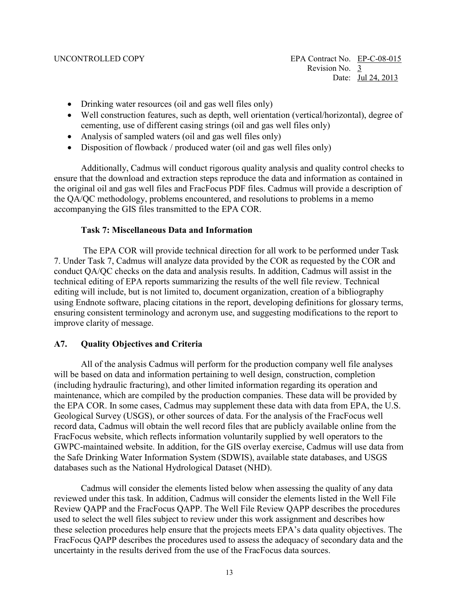- Drinking water resources (oil and gas well files only)
- cementing, use of different casing strings (oil and gas well files only) • Well construction features, such as depth, well orientation (vertical/horizontal), degree of
- Analysis of sampled waters (oil and gas well files only)
- Disposition of flowback / produced water (oil and gas well files only)

 Additionally, Cadmus will conduct rigorous quality analysis and quality control checks to accompanying the GIS files transmitted to the EPA COR. ensure that the download and extraction steps reproduce the data and information as contained in the original oil and gas well files and FracFocus PDF files. Cadmus will provide a description of the QA/QC methodology, problems encountered, and resolutions to problems in a memo

#### **Task 7: Miscellaneous Data and Information**

The EPA COR will provide technical direction for all work to be performed under Task 7. Under Task 7, Cadmus will analyze data provided by the COR as requested by the COR and conduct QA/QC checks on the data and analysis results. In addition, Cadmus will assist in the technical editing of EPA reports summarizing the results of the well file review. Technical editing will include, but is not limited to, document organization, creation of a bibliography using Endnote software, placing citations in the report, developing definitions for glossary terms, ensuring consistent terminology and acronym use, and suggesting modifications to the report to improve clarity of message.

### <span id="page-13-0"></span>**A7. Quality Objectives and Criteria**

 maintenance, which are compiled by the production companies. These data will be provided by the Safe Drinking Water Information System (SDWIS), available state databases, and USGS All of the analysis Cadmus will perform for the production company well file analyses will be based on data and information pertaining to well design, construction, completion (including hydraulic fracturing), and other limited information regarding its operation and the EPA COR. In some cases, Cadmus may supplement these data with data from EPA, the U.S. Geological Survey (USGS), or other sources of data. For the analysis of the FracFocus well record data, Cadmus will obtain the well record files that are publicly available online from the FracFocus website, which reflects information voluntarily supplied by well operators to the GWPC-maintained website. In addition, for the GIS overlay exercise, Cadmus will use data from databases such as the National Hydrological Dataset (NHD).

 Cadmus will consider the elements listed below when assessing the quality of any data Review QAPP and the FracFocus QAPP. The Well File Review QAPP describes the procedures reviewed under this task. In addition, Cadmus will consider the elements listed in the Well File used to select the well files subject to review under this work assignment and describes how these selection procedures help ensure that the projects meets EPA's data quality objectives. The FracFocus QAPP describes the procedures used to assess the adequacy of secondary data and the uncertainty in the results derived from the use of the FracFocus data sources.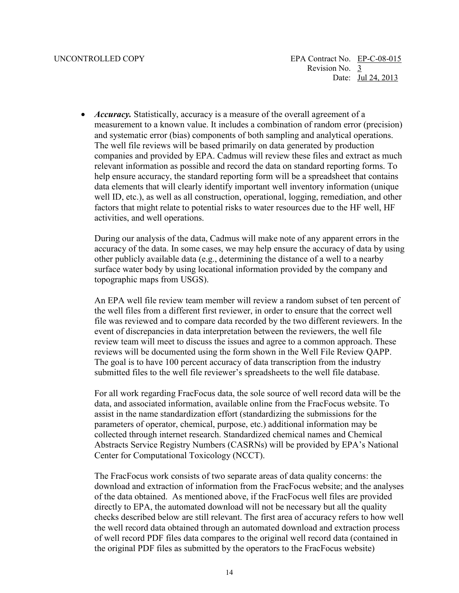measurement to a known value. It includes a combination of random error (precision) help ensure accuracy, the standard reporting form will be a spreadsheet that contains factors that might relate to potential risks to water resources due to the HF well, HF • *Accuracy*. Statistically, accuracy is a measure of the overall agreement of a and systematic error (bias) components of both sampling and analytical operations. The well file reviews will be based primarily on data generated by production companies and provided by EPA. Cadmus will review these files and extract as much relevant information as possible and record the data on standard reporting forms. To data elements that will clearly identify important well inventory information (unique well ID, etc.), as well as all construction, operational, logging, remediation, and other activities, and well operations.

 topographic maps from USGS). During our analysis of the data, Cadmus will make note of any apparent errors in the accuracy of the data. In some cases, we may help ensure the accuracy of data by using other publicly available data (e.g., determining the distance of a well to a nearby surface water body by using locational information provided by the company and

 file was reviewed and to compare data recorded by the two different reviewers. In the An EPA well file review team member will review a random subset of ten percent of the well files from a different first reviewer, in order to ensure that the correct well event of discrepancies in data interpretation between the reviewers, the well file review team will meet to discuss the issues and agree to a common approach. These reviews will be documented using the form shown in the Well File Review QAPP. The goal is to have 100 percent accuracy of data transcription from the industry submitted files to the well file reviewer's spreadsheets to the well file database.

 parameters of operator, chemical, purpose, etc.) additional information may be Abstracts Service Registry Numbers (CASRNs) will be provided by EPA's National For all work regarding FracFocus data, the sole source of well record data will be the data, and associated information, available online from the FracFocus website. To assist in the name standardization effort (standardizing the submissions for the collected through internet research. Standardized chemical names and Chemical Center for Computational Toxicology (NCCT).

 of the data obtained. As mentioned above, if the FracFocus well files are provided of well record PDF files data compares to the original well record data (contained in The FracFocus work consists of two separate areas of data quality concerns: the download and extraction of information from the FracFocus website; and the analyses directly to EPA, the automated download will not be necessary but all the quality checks described below are still relevant. The first area of accuracy refers to how well the well record data obtained through an automated download and extraction process the original PDF files as submitted by the operators to the FracFocus website)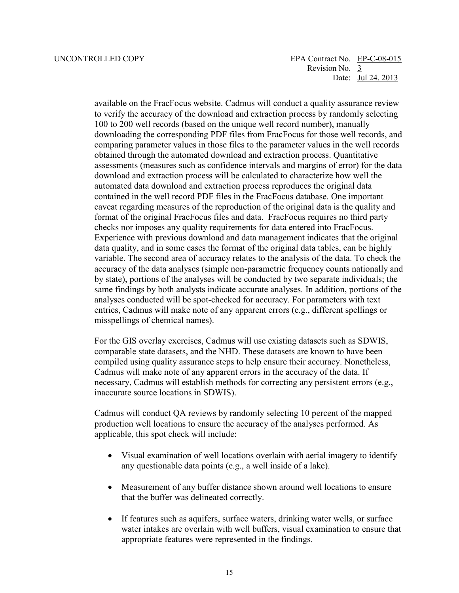Revision No. 3 UNCONTROLLED COPY EPA Contract No. EP-C-08-015 Date: Jul 24, 2013

> to verify the accuracy of the download and extraction process by randomly selecting download and extraction process will be calculated to characterize how well the automated data download and extraction process reproduces the original data format of the original FracFocus files and data. FracFocus requires no third party Experience with previous download and data management indicates that the original data quality, and in some cases the format of the original data tables, can be highly same findings by both analysts indicate accurate analyses. In addition, portions of the misspellings of chemical names). available on the FracFocus website. Cadmus will conduct a quality assurance review 100 to 200 well records (based on the unique well record number), manually downloading the corresponding PDF files from FracFocus for those well records, and comparing parameter values in those files to the parameter values in the well records obtained through the automated download and extraction process. Quantitative assessments (measures such as confidence intervals and margins of error) for the data contained in the well record PDF files in the FracFocus database. One important caveat regarding measures of the reproduction of the original data is the quality and checks nor imposes any quality requirements for data entered into FracFocus. variable. The second area of accuracy relates to the analysis of the data. To check the accuracy of the data analyses (simple non-parametric frequency counts nationally and by state), portions of the analyses will be conducted by two separate individuals; the analyses conducted will be spot-checked for accuracy. For parameters with text entries, Cadmus will make note of any apparent errors (e.g., different spellings or

For the GIS overlay exercises, Cadmus will use existing datasets such as SDWIS, comparable state datasets, and the NHD. These datasets are known to have been compiled using quality assurance steps to help ensure their accuracy. Nonetheless, Cadmus will make note of any apparent errors in the accuracy of the data. If necessary, Cadmus will establish methods for correcting any persistent errors (e.g., inaccurate source locations in SDWIS).

Cadmus will conduct QA reviews by randomly selecting 10 percent of the mapped production well locations to ensure the accuracy of the analyses performed. As applicable, this spot check will include:

- any questionable data points (e.g., a well inside of a lake). • Visual examination of well locations overlain with aerial imagery to identify
- Measurement of any buffer distance shown around well locations to ensure that the buffer was delineated correctly.
- If features such as aquifers, surface waters, drinking water wells, or surface water intakes are overlain with well buffers, visual examination to ensure that appropriate features were represented in the findings.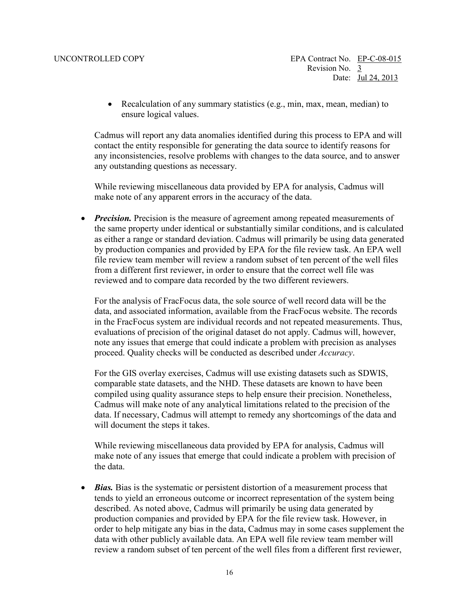• Recalculation of any summary statistics (e.g., min, max, mean, median) to ensure logical values.

Cadmus will report any data anomalies identified during this process to EPA and will contact the entity responsible for generating the data source to identify reasons for any inconsistencies, resolve problems with changes to the data source, and to answer any outstanding questions as necessary.

 make note of any apparent errors in the accuracy of the data. While reviewing miscellaneous data provided by EPA for analysis, Cadmus will

• *Precision*. Precision is the measure of agreement among repeated measurements of the same property under identical or substantially similar conditions, and is calculated as either a range or standard deviation. Cadmus will primarily be using data generated by production companies and provided by EPA for the file review task. An EPA well file review team member will review a random subset of ten percent of the well files from a different first reviewer, in order to ensure that the correct well file was reviewed and to compare data recorded by the two different reviewers.

 For the analysis of FracFocus data, the sole source of well record data will be the note any issues that emerge that could indicate a problem with precision as analyses proceed. Quality checks will be conducted as described under *Accuracy*. data, and associated information, available from the FracFocus website. The records in the FracFocus system are individual records and not repeated measurements. Thus, evaluations of precision of the original dataset do not apply. Cadmus will, however,

 For the GIS overlay exercises, Cadmus will use existing datasets such as SDWIS, comparable state datasets, and the NHD. These datasets are known to have been compiled using quality assurance steps to help ensure their precision. Nonetheless, Cadmus will make note of any analytical limitations related to the precision of the data. If necessary, Cadmus will attempt to remedy any shortcomings of the data and will document the steps it takes.

While reviewing miscellaneous data provided by EPA for analysis, Cadmus will make note of any issues that emerge that could indicate a problem with precision of the data.

 described. As noted above, Cadmus will primarily be using data generated by review a random subset of ten percent of the well files from a different first reviewer, • *Bias.* Bias is the systematic or persistent distortion of a measurement process that tends to yield an erroneous outcome or incorrect representation of the system being production companies and provided by EPA for the file review task. However, in order to help mitigate any bias in the data, Cadmus may in some cases supplement the data with other publicly available data. An EPA well file review team member will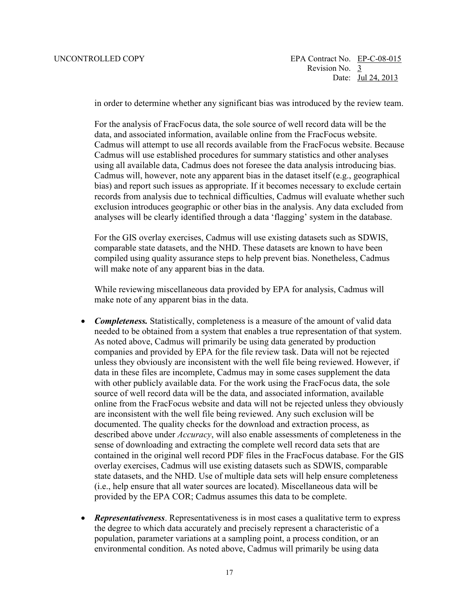in order to determine whether any significant bias was introduced by the review team.

 For the analysis of FracFocus data, the sole source of well record data will be the data, and associated information, available online from the FracFocus website. Cadmus will attempt to use all records available from the FracFocus website. Because Cadmus will use established procedures for summary statistics and other analyses using all available data, Cadmus does not foresee the data analysis introducing bias. Cadmus will, however, note any apparent bias in the dataset itself (e.g., geographical bias) and report such issues as appropriate. If it becomes necessary to exclude certain records from analysis due to technical difficulties, Cadmus will evaluate whether such exclusion introduces geographic or other bias in the analysis. Any data excluded from analyses will be clearly identified through a data 'flagging' system in the database.

 For the GIS overlay exercises, Cadmus will use existing datasets such as SDWIS, comparable state datasets, and the NHD. These datasets are known to have been compiled using quality assurance steps to help prevent bias. Nonetheless, Cadmus will make note of any apparent bias in the data.

While reviewing miscellaneous data provided by EPA for analysis, Cadmus will make note of any apparent bias in the data.

- *Completeness.* Statistically, completeness is a measure of the amount of valid data needed to be obtained from a system that enables a true representation of that system. As noted above, Cadmus will primarily be using data generated by production companies and provided by EPA for the file review task. Data will not be rejected unless they obviously are inconsistent with the well file being reviewed. However, if data in these files are incomplete, Cadmus may in some cases supplement the data with other publicly available data. For the work using the FracFocus data, the sole source of well record data will be the data, and associated information, available online from the FracFocus website and data will not be rejected unless they obviously are inconsistent with the well file being reviewed. Any such exclusion will be documented. The quality checks for the download and extraction process, as described above under *Accuracy*, will also enable assessments of completeness in the sense of downloading and extracting the complete well record data sets that are contained in the original well record PDF files in the FracFocus database. For the GIS overlay exercises, Cadmus will use existing datasets such as SDWIS, comparable state datasets, and the NHD. Use of multiple data sets will help ensure completeness (i.e., help ensure that all water sources are located). Miscellaneous data will be provided by the EPA COR; Cadmus assumes this data to be complete.
- environmental condition. As noted above, Cadmus will primarily be using data • *Representativeness.* Representativeness is in most cases a qualitative term to express the degree to which data accurately and precisely represent a characteristic of a population, parameter variations at a sampling point, a process condition, or an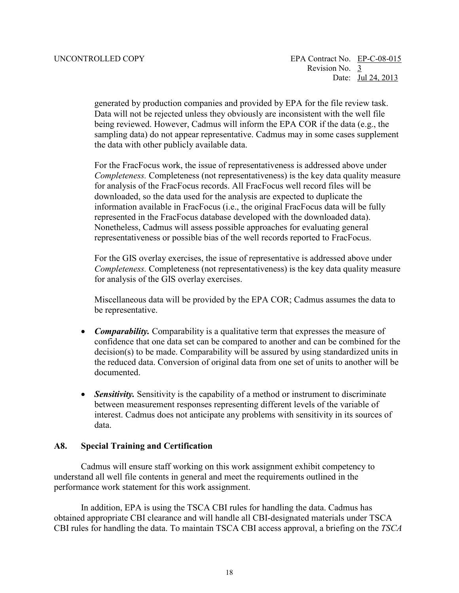being reviewed. However, Cadmus will inform the EPA COR if the data (e.g., the generated by production companies and provided by EPA for the file review task. Data will not be rejected unless they obviously are inconsistent with the well file sampling data) do not appear representative. Cadmus may in some cases supplement the data with other publicly available data.

 For the FracFocus work, the issue of representativeness is addressed above under information available in FracFocus (i.e., the original FracFocus data will be fully Nonetheless, Cadmus will assess possible approaches for evaluating general representativeness or possible bias of the well records reported to FracFocus. *Completeness.* Completeness (not representativeness) is the key data quality measure for analysis of the FracFocus records. All FracFocus well record files will be downloaded, so the data used for the analysis are expected to duplicate the represented in the FracFocus database developed with the downloaded data).

For the GIS overlay exercises, the issue of representative is addressed above under *Completeness.* Completeness (not representativeness) is the key data quality measure for analysis of the GIS overlay exercises.

Miscellaneous data will be provided by the EPA COR; Cadmus assumes the data to be representative.

- confidence that one data set can be compared to another and can be combined for the • *Comparability.* Comparability is a qualitative term that expresses the measure of decision(s) to be made. Comparability will be assured by using standardized units in the reduced data. Conversion of original data from one set of units to another will be documented.
- *Sensitivity.* Sensitivity is the capability of a method or instrument to discriminate between measurement responses representing different levels of the variable of interest. Cadmus does not anticipate any problems with sensitivity in its sources of data.

#### <span id="page-18-0"></span>**A8. Special Training and Certification**

 understand all well file contents in general and meet the requirements outlined in the Cadmus will ensure staff working on this work assignment exhibit competency to performance work statement for this work assignment.

In addition, EPA is using the TSCA CBI rules for handling the data. Cadmus has obtained appropriate CBI clearance and will handle all CBI-designated materials under TSCA CBI rules for handling the data. To maintain TSCA CBI access approval, a briefing on the *TSCA*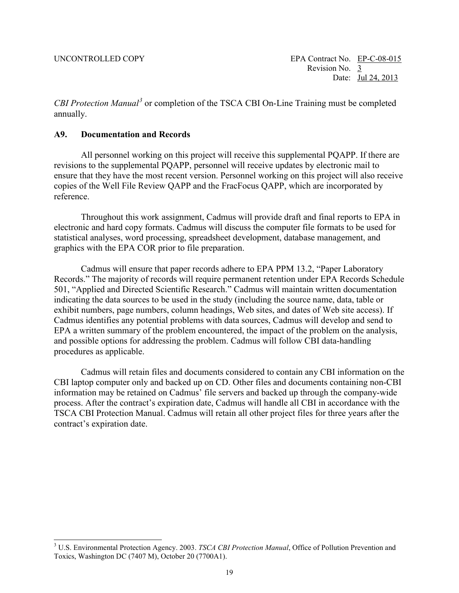$\overline{a}$ 

*CBI Protection Manual[3](#page-19-1)* or completion of the TSCA CBI On-Line Training must be completed annually.

#### <span id="page-19-0"></span>**A9. Documentation and Records**

 All personnel working on this project will receive this supplemental PQAPP. If there are revisions to the supplemental PQAPP, personnel will receive updates by electronic mail to copies of the Well File Review QAPP and the FracFocus QAPP, which are incorporated by ensure that they have the most recent version. Personnel working on this project will also receive reference.

Throughout this work assignment, Cadmus will provide draft and final reports to EPA in electronic and hard copy formats. Cadmus will discuss the computer file formats to be used for statistical analyses, word processing, spreadsheet development, database management, and graphics with the EPA COR prior to file preparation.

 Cadmus will ensure that paper records adhere to EPA PPM 13.2, "Paper Laboratory Records." The majority of records will require permanent retention under EPA Records Schedule 501, "Applied and Directed Scientific Research." Cadmus will maintain written documentation indicating the data sources to be used in the study (including the source name, data, table or exhibit numbers, page numbers, column headings, Web sites, and dates of Web site access). If Cadmus identifies any potential problems with data sources, Cadmus will develop and send to EPA a written summary of the problem encountered, the impact of the problem on the analysis, and possible options for addressing the problem. Cadmus will follow CBI data-handling procedures as applicable.

 Cadmus will retain files and documents considered to contain any CBI information on the process. After the contract's expiration date, Cadmus will handle all CBI in accordance with the CBI laptop computer only and backed up on CD. Other files and documents containing non-CBI information may be retained on Cadmus' file servers and backed up through the company-wide TSCA CBI Protection Manual. Cadmus will retain all other project files for three years after the contract's expiration date.

<span id="page-19-1"></span><sup>3</sup> U.S. Environmental Protection Agency. 2003. *TSCA CBI Protection Manual*, Office of Pollution Prevention and Toxics, Washington DC (7407 M), October 20 (7700A1).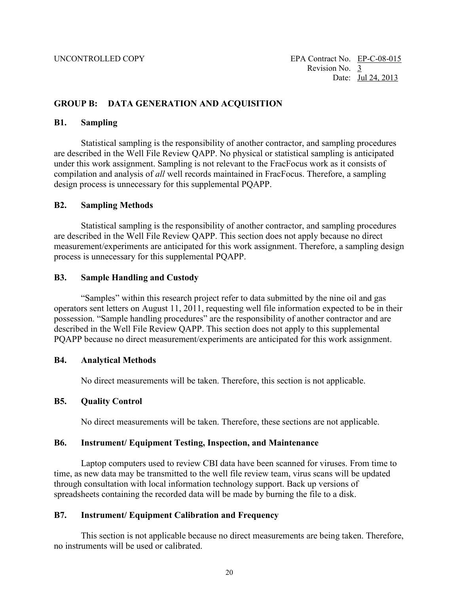### <span id="page-20-0"></span>**GROUP B: DATA GENERATION AND ACQUISITION**

#### <span id="page-20-1"></span>**B1. Sampling**

 compilation and analysis of *all* well records maintained in FracFocus. Therefore, a sampling design process is unnecessary for this supplemental PQAPP. Statistical sampling is the responsibility of another contractor, and sampling procedures are described in the Well File Review QAPP. No physical or statistical sampling is anticipated under this work assignment. Sampling is not relevant to the FracFocus work as it consists of

#### <span id="page-20-2"></span>**B2. Sampling Methods**

 process is unnecessary for this supplemental PQAPP. Statistical sampling is the responsibility of another contractor, and sampling procedures are described in the Well File Review QAPP. This section does not apply because no direct measurement/experiments are anticipated for this work assignment. Therefore, a sampling design

#### <span id="page-20-3"></span>**B3. Sample Handling and Custody**

 possession. "Sample handling procedures" are the responsibility of another contractor and are "Samples" within this research project refer to data submitted by the nine oil and gas operators sent letters on August 11, 2011, requesting well file information expected to be in their described in the Well File Review QAPP. This section does not apply to this supplemental PQAPP because no direct measurement/experiments are anticipated for this work assignment.

#### <span id="page-20-4"></span>**B4. Analytical Methods**

No direct measurements will be taken. Therefore, this section is not applicable.

### <span id="page-20-5"></span> **B5. Quality Control**

No direct measurements will be taken. Therefore, these sections are not applicable.

#### <span id="page-20-6"></span>**B6. Instrument/ Equipment Testing, Inspection, and Maintenance**

 spreadsheets containing the recorded data will be made by burning the file to a disk. Laptop computers used to review CBI data have been scanned for viruses. From time to time, as new data may be transmitted to the well file review team, virus scans will be updated through consultation with local information technology support. Back up versions of

#### <span id="page-20-7"></span>**B7. Instrument/ Equipment Calibration and Frequency**

This section is not applicable because no direct measurements are being taken. Therefore, no instruments will be used or calibrated.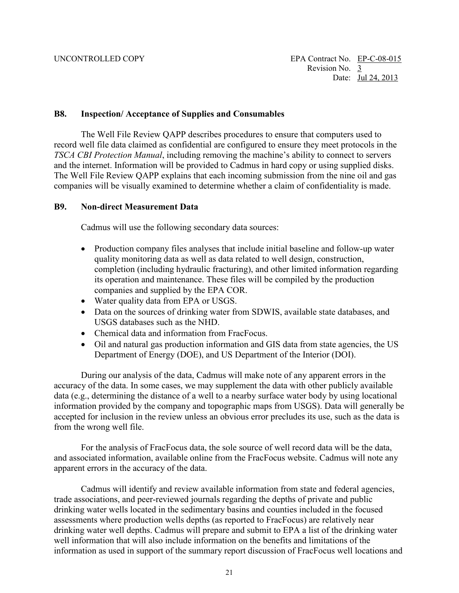#### <span id="page-21-0"></span>**B8. Inspection/ Acceptance of Supplies and Consumables**

 The Well File Review QAPP describes procedures to ensure that computers used to The Well File Review QAPP explains that each incoming submission from the nine oil and gas companies will be visually examined to determine whether a claim of confidentiality is made. record well file data claimed as confidential are configured to ensure they meet protocols in the *TSCA CBI Protection Manual*, including removing the machine's ability to connect to servers and the internet. Information will be provided to Cadmus in hard copy or using supplied disks.

#### <span id="page-21-1"></span>**B9. Non-direct Measurement Data**

Cadmus will use the following secondary data sources:

- quality monitoring data as well as data related to well design, construction, • Production company files analyses that include initial baseline and follow-up water completion (including hydraulic fracturing), and other limited information regarding its operation and maintenance. These files will be compiled by the production companies and supplied by the EPA COR.
- Water quality data from EPA or USGS.
- USGS databases such as the NHD. • Data on the sources of drinking water from SDWIS, available state databases, and
- Chemical data and information from FracFocus.
- Oil and natural gas production information and GIS data from state agencies, the US Department of Energy (DOE), and US Department of the Interior (DOI).

During our analysis of the data, Cadmus will make note of any apparent errors in the accuracy of the data. In some cases, we may supplement the data with other publicly available data (e.g., determining the distance of a well to a nearby surface water body by using locational information provided by the company and topographic maps from USGS). Data will generally be accepted for inclusion in the review unless an obvious error precludes its use, such as the data is from the wrong well file.

 apparent errors in the accuracy of the data. For the analysis of FracFocus data, the sole source of well record data will be the data, and associated information, available online from the FracFocus website. Cadmus will note any

 trade associations, and peer-reviewed journals regarding the depths of private and public drinking water well depths. Cadmus will prepare and submit to EPA a list of the drinking water Cadmus will identify and review available information from state and federal agencies, drinking water wells located in the sedimentary basins and counties included in the focused assessments where production wells depths (as reported to FracFocus) are relatively near well information that will also include information on the benefits and limitations of the information as used in support of the summary report discussion of FracFocus well locations and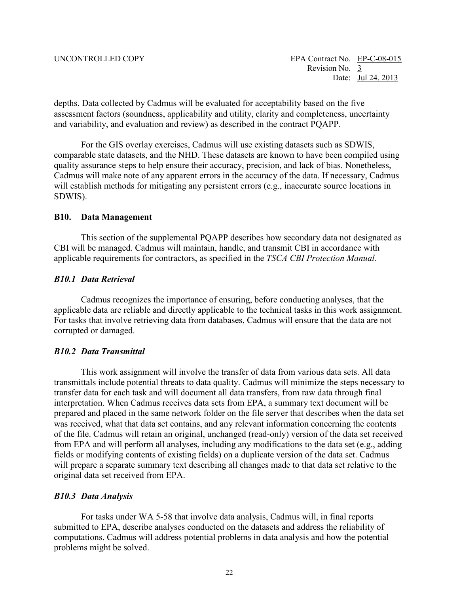depths. Data collected by Cadmus will be evaluated for acceptability based on the five and variability, and evaluation and review) as described in the contract POAPP. assessment factors (soundness, applicability and utility, clarity and completeness, uncertainty

For the GIS overlay exercises, Cadmus will use existing datasets such as SDWIS, comparable state datasets, and the NHD. These datasets are known to have been compiled using quality assurance steps to help ensure their accuracy, precision, and lack of bias. Nonetheless, Cadmus will make note of any apparent errors in the accuracy of the data. If necessary, Cadmus will establish methods for mitigating any persistent errors (e.g., inaccurate source locations in SDWIS).

#### <span id="page-22-0"></span>**B10. Data Management**

This section of the supplemental PQAPP describes how secondary data not designated as CBI will be managed. Cadmus will maintain, handle, and transmit CBI in accordance with applicable requirements for contractors, as specified in the *TSCA CBI Protection Manual*.

#### *B10.1 Data Retrieval*

Cadmus recognizes the importance of ensuring, before conducting analyses, that the applicable data are reliable and directly applicable to the technical tasks in this work assignment. For tasks that involve retrieving data from databases, Cadmus will ensure that the data are not corrupted or damaged.

### *B10.2 Data Transmittal*

 from EPA and will perform all analyses, including any modifications to the data set (e.g., adding This work assignment will involve the transfer of data from various data sets. All data transmittals include potential threats to data quality. Cadmus will minimize the steps necessary to transfer data for each task and will document all data transfers, from raw data through final interpretation. When Cadmus receives data sets from EPA, a summary text document will be prepared and placed in the same network folder on the file server that describes when the data set was received, what that data set contains, and any relevant information concerning the contents of the file. Cadmus will retain an original, unchanged (read-only) version of the data set received fields or modifying contents of existing fields) on a duplicate version of the data set. Cadmus will prepare a separate summary text describing all changes made to that data set relative to the original data set received from EPA.

#### *B10.3 Data Analysis*

 For tasks under WA 5-58 that involve data analysis, Cadmus will, in final reports submitted to EPA, describe analyses conducted on the datasets and address the reliability of computations. Cadmus will address potential problems in data analysis and how the potential problems might be solved.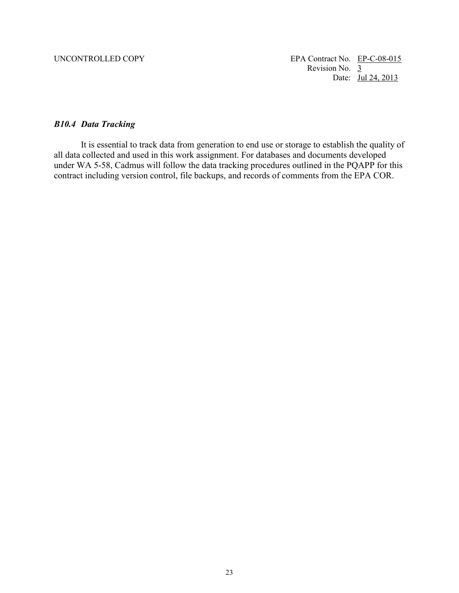### *B10.4 Data Tracking*

It is essential to track data from generation to end use or storage to establish the quality of all data collected and used in this work assignment. For databases and documents developed under WA 5-58, Cadmus will follow the data tracking procedures outlined in the PQAPP for this contract including version control, file backups, and records of comments from the EPA COR.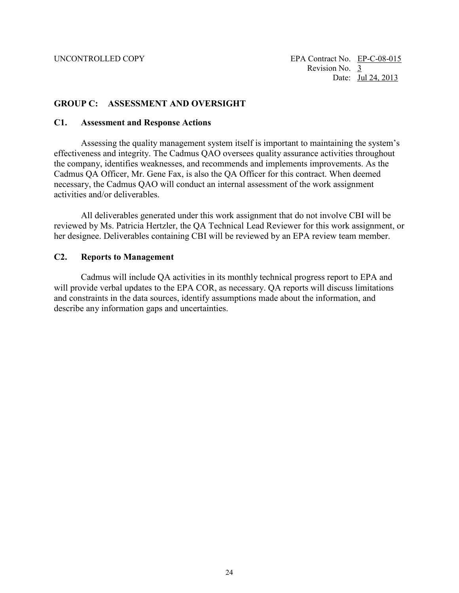#### <span id="page-24-0"></span>**GROUP C: ASSESSMENT AND OVERSIGHT**

#### <span id="page-24-1"></span> **C1. Assessment and Response Actions**

Assessing the quality management system itself is important to maintaining the system's effectiveness and integrity. The Cadmus QAO oversees quality assurance activities throughout the company, identifies weaknesses, and recommends and implements improvements. As the Cadmus QA Officer, Mr. Gene Fax, is also the QA Officer for this contract. When deemed necessary, the Cadmus QAO will conduct an internal assessment of the work assignment activities and/or deliverables.

All deliverables generated under this work assignment that do not involve CBI will be reviewed by Ms. Patricia Hertzler, the QA Technical Lead Reviewer for this work assignment, or her designee. Deliverables containing CBI will be reviewed by an EPA review team member.

#### <span id="page-24-2"></span>**C2. Reports to Management**

Cadmus will include QA activities in its monthly technical progress report to EPA and will provide verbal updates to the EPA COR, as necessary. QA reports will discuss limitations and constraints in the data sources, identify assumptions made about the information, and describe any information gaps and uncertainties.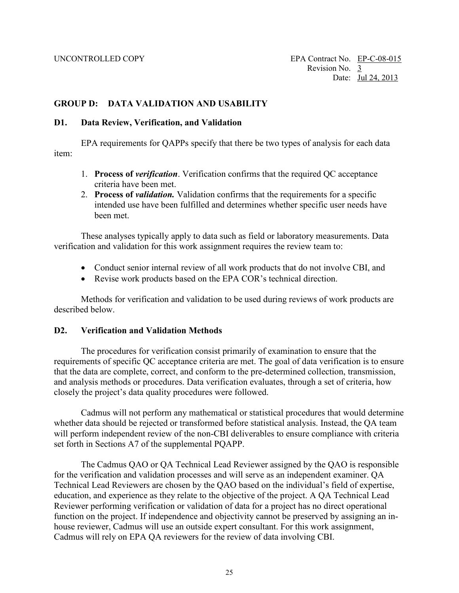#### <span id="page-25-0"></span>**GROUP D: DATA VALIDATION AND USABILITY**

#### <span id="page-25-1"></span>**D1. Data Review, Verification, and Validation**

EPA requirements for QAPPs specify that there be two types of analysis for each data item:

- 1. **Process of** *verification*. Verification confirms that the required QC acceptance criteria have been met.
- 2. **Process of** *validation.* Validation confirms that the requirements for a specific intended use have been fulfilled and determines whether specific user needs have been met.

These analyses typically apply to data such as field or laboratory measurements. Data verification and validation for this work assignment requires the review team to:

- Conduct senior internal review of all work products that do not involve CBI, and
- Revise work products based on the EPA COR's technical direction.

Methods for verification and validation to be used during reviews of work products are described below.

#### <span id="page-25-2"></span>**D2. Verification and Validation Methods**

The procedures for verification consist primarily of examination to ensure that the requirements of specific QC acceptance criteria are met. The goal of data verification is to ensure that the data are complete, correct, and conform to the pre-determined collection, transmission, and analysis methods or procedures. Data verification evaluates, through a set of criteria, how closely the project's data quality procedures were followed.

set forth in Sections A7 of the supplemental PQAPP. Cadmus will not perform any mathematical or statistical procedures that would determine whether data should be rejected or transformed before statistical analysis. Instead, the QA team will perform independent review of the non-CBI deliverables to ensure compliance with criteria

 education, and experience as they relate to the objective of the project. A QA Technical Lead Reviewer performing verification or validation of data for a project has no direct operational Cadmus will rely on EPA QA reviewers for the review of data involving CBI. The Cadmus QAO or QA Technical Lead Reviewer assigned by the QAO is responsible for the verification and validation processes and will serve as an independent examiner. QA Technical Lead Reviewers are chosen by the QAO based on the individual's field of expertise, function on the project. If independence and objectivity cannot be preserved by assigning an inhouse reviewer, Cadmus will use an outside expert consultant. For this work assignment,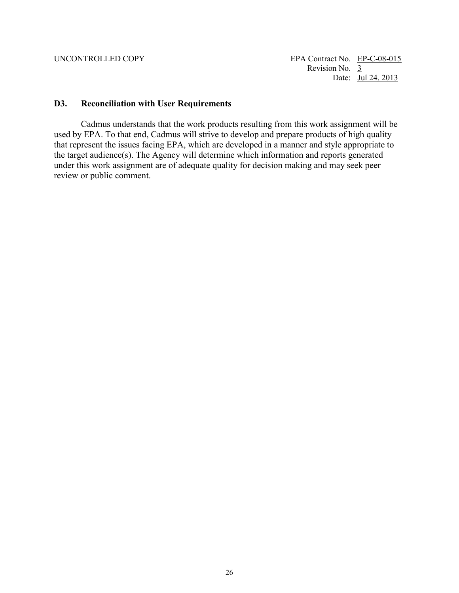#### <span id="page-26-0"></span>**D3. Reconciliation with User Requirements**

 review or public comment. Cadmus understands that the work products resulting from this work assignment will be used by EPA. To that end, Cadmus will strive to develop and prepare products of high quality that represent the issues facing EPA, which are developed in a manner and style appropriate to the target audience(s). The Agency will determine which information and reports generated under this work assignment are of adequate quality for decision making and may seek peer